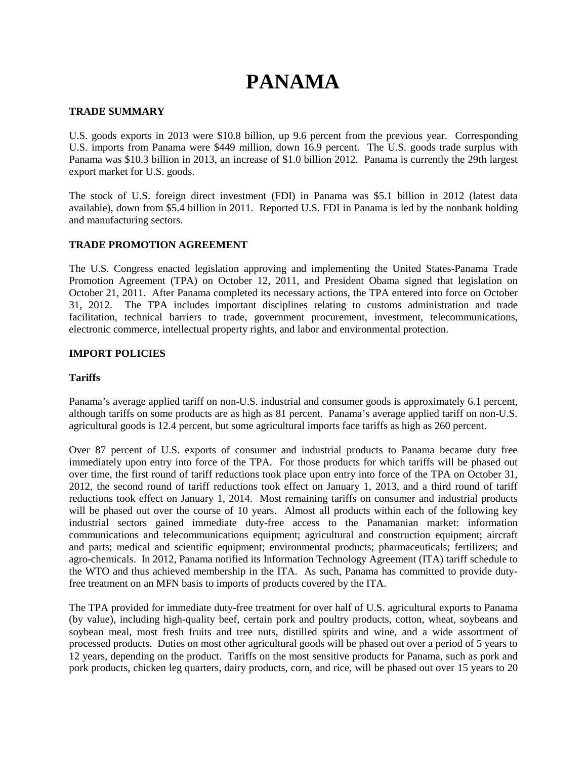# **PANAMA**

### **TRADE SUMMARY**

U.S. goods exports in 2013 were \$10.8 billion, up 9.6 percent from the previous year. Corresponding U.S. imports from Panama were \$449 million, down 16.9 percent. The U.S. goods trade surplus with Panama was \$10.3 billion in 2013, an increase of \$1.0 billion 2012. Panama is currently the 29th largest export market for U.S. goods.

The stock of U.S. foreign direct investment (FDI) in Panama was \$5.1 billion in 2012 (latest data available), down from \$5.4 billion in 2011. Reported U.S. FDI in Panama is led by the nonbank holding and manufacturing sectors.

# **TRADE PROMOTION AGREEMENT**

The U.S. Congress enacted legislation approving and implementing the United States-Panama Trade Promotion Agreement (TPA) on October 12, 2011, and President Obama signed that legislation on October 21, 2011. After Panama completed its necessary actions, the TPA entered into force on October 31, 2012. The TPA includes important disciplines relating to customs administration and trade facilitation, technical barriers to trade, government procurement, investment, telecommunications, electronic commerce, intellectual property rights, and labor and environmental protection.

# **IMPORT POLICIES**

#### **Tariffs**

Panama's average applied tariff on non-U.S. industrial and consumer goods is approximately 6.1 percent, although tariffs on some products are as high as 81 percent. Panama's average applied tariff on non-U.S. agricultural goods is 12.4 percent, but some agricultural imports face tariffs as high as 260 percent.

Over 87 percent of U.S. exports of consumer and industrial products to Panama became duty free immediately upon entry into force of the TPA. For those products for which tariffs will be phased out over time, the first round of tariff reductions took place upon entry into force of the TPA on October 31, 2012, the second round of tariff reductions took effect on January 1, 2013, and a third round of tariff reductions took effect on January 1, 2014. Most remaining tariffs on consumer and industrial products will be phased out over the course of 10 years. Almost all products within each of the following key industrial sectors gained immediate duty-free access to the Panamanian market: information communications and telecommunications equipment; agricultural and construction equipment; aircraft and parts; medical and scientific equipment; environmental products; pharmaceuticals; fertilizers; and agro-chemicals. In 2012, Panama notified its Information Technology Agreement (ITA) tariff schedule to the WTO and thus achieved membership in the ITA. As such, Panama has committed to provide dutyfree treatment on an MFN basis to imports of products covered by the ITA.

The TPA provided for immediate duty-free treatment for over half of U.S. agricultural exports to Panama (by value), including high-quality beef, certain pork and poultry products, cotton, wheat, soybeans and soybean meal, most fresh fruits and tree nuts, distilled spirits and wine, and a wide assortment of processed products. Duties on most other agricultural goods will be phased out over a period of 5 years to 12 years, depending on the product. Tariffs on the most sensitive products for Panama, such as pork and pork products, chicken leg quarters, dairy products, corn, and rice, will be phased out over 15 years to 20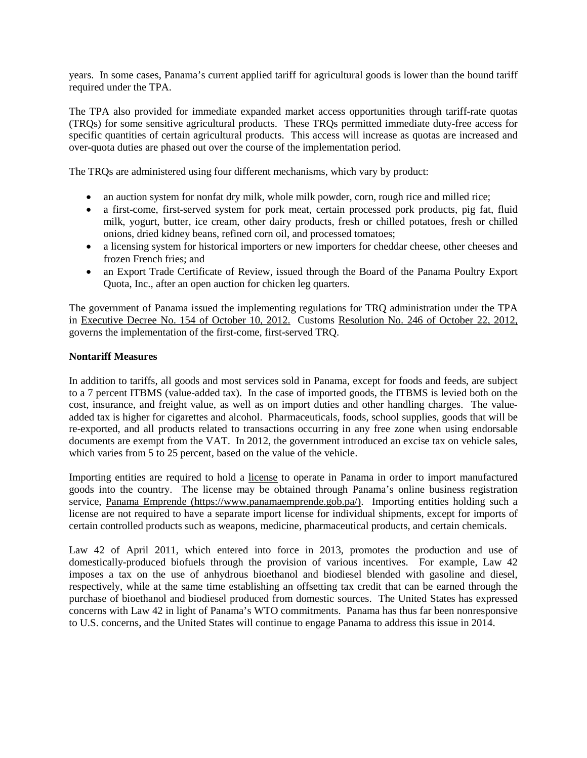years. In some cases, Panama's current applied tariff for agricultural goods is lower than the bound tariff required under the TPA.

The TPA also provided for immediate expanded market access opportunities through tariff-rate quotas (TRQs) for some sensitive agricultural products. These TRQs permitted immediate duty-free access for specific quantities of certain agricultural products. This access will increase as quotas are increased and over-quota duties are phased out over the course of the implementation period.

The TRQs are administered using four different mechanisms, which vary by product:

- an auction system for nonfat dry milk, whole milk powder, corn, rough rice and milled rice;
- a first-come, first-served system for pork meat, certain processed pork products, pig fat, fluid milk, yogurt, butter, ice cream, other dairy products, fresh or chilled potatoes, fresh or chilled onions, dried kidney beans, refined corn oil, and processed tomatoes;
- a licensing system for historical importers or new importers for cheddar cheese, other cheeses and frozen French fries; and
- an Export Trade Certificate of Review, issued through the Board of the Panama Poultry Export Quota, Inc., after an open auction for chicken leg quarters.

The government of Panama issued the implementing regulations for TRQ administration under the TPA in [Executive Decree No. 154 of October 10, 2012.](http://www.gacetaoficial.gob.pa/pdfTemp/27139_B/39335.pdf) Customs [Resolution No. 246 of October 22, 2012,](http://www.gacetaoficial.gob.pa/pdfTemp/27149/39492.pdf)  governs the implementation of the first-come, first-served TRQ.

#### **Nontariff Measures**

In addition to tariffs, all goods and most services sold in Panama, except for foods and feeds, are subject to a 7 percent ITBMS (value-added tax). In the case of imported goods, the ITBMS is levied both on the cost, insurance, and freight value, as well as on import duties and other handling charges. The valueadded tax is higher for cigarettes and alcohol. Pharmaceuticals, foods, school supplies, goods that will be re-exported, and all products related to transactions occurring in any free zone when using endorsable documents are exempt from the VAT. In 2012, the government introduced an excise tax on vehicle sales, which varies from 5 to 25 percent, based on the value of the vehicle.

Importing entities are required to hold a license to operate in Panama in order to import manufactured goods into the country. The license may be obtained through Panama's online business registration service, Panama Emprende [\(https://www.panamaemprende.gob.pa/\)](https://www.panamaemprende.gob.pa/). Importing entities holding such a license are not required to have a separate import license for individual shipments, except for imports of certain controlled products such as weapons, medicine, pharmaceutical products, and certain chemicals.

Law 42 of April 2011, which entered into force in 2013, promotes the production and use of domestically-produced biofuels through the provision of various incentives. For example, Law 42 imposes a tax on the use of anhydrous bioethanol and biodiesel blended with gasoline and diesel, respectively, while at the same time establishing an offsetting tax credit that can be earned through the purchase of bioethanol and biodiesel produced from domestic sources. The United States has expressed concerns with Law 42 in light of Panama's WTO commitments. Panama has thus far been nonresponsive to U.S. concerns, and the United States will continue to engage Panama to address this issue in 2014.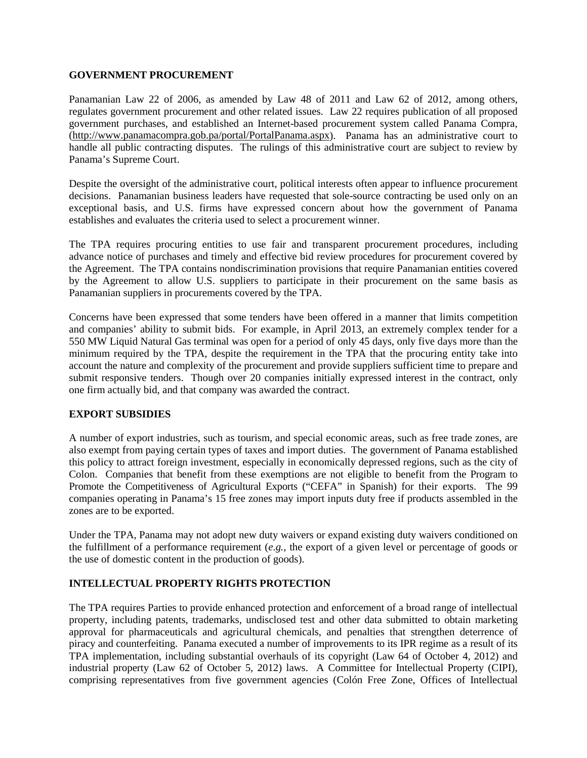#### **GOVERNMENT PROCUREMENT**

Panamanian Law 22 of 2006, as amended by Law 48 of 2011 and Law 62 of 2012, among others, regulates government procurement and other related issues. Law 22 requires publication of all proposed government purchases, and established an Internet-based procurement system called Panama Compra, [\(http://www.panamacompra.gob.pa/portal/PortalPanama.aspx\)](http://www.panamacompra.gob.pa/portal/PortalPanama.aspx). Panama has an administrative court to handle all public contracting disputes. The rulings of this administrative court are subject to review by Panama's Supreme Court.

Despite the oversight of the administrative court, political interests often appear to influence procurement decisions. Panamanian business leaders have requested that sole-source contracting be used only on an exceptional basis, and U.S. firms have expressed concern about how the government of Panama establishes and evaluates the criteria used to select a procurement winner.

The TPA requires procuring entities to use fair and transparent procurement procedures, including advance notice of purchases and timely and effective bid review procedures for procurement covered by the Agreement. The TPA contains nondiscrimination provisions that require Panamanian entities covered by the Agreement to allow U.S. suppliers to participate in their procurement on the same basis as Panamanian suppliers in procurements covered by the TPA.

Concerns have been expressed that some tenders have been offered in a manner that limits competition and companies' ability to submit bids. For example, in April 2013, an extremely complex tender for a 550 MW Liquid Natural Gas terminal was open for a period of only 45 days, only five days more than the minimum required by the TPA, despite the requirement in the TPA that the procuring entity take into account the nature and complexity of the procurement and provide suppliers sufficient time to prepare and submit responsive tenders. Though over 20 companies initially expressed interest in the contract, only one firm actually bid, and that company was awarded the contract.

#### **EXPORT SUBSIDIES**

A number of export industries, such as tourism, and special economic areas, such as free trade zones, are also exempt from paying certain types of taxes and import duties. The government of Panama established this policy to attract foreign investment, especially in economically depressed regions, such as the city of Colon. Companies that benefit from these exemptions are not eligible to benefit from the Program to Promote the Competitiveness of Agricultural Exports ("CEFA" in Spanish) for their exports. The 99 companies operating in Panama's 15 free zones may import inputs duty free if products assembled in the zones are to be exported.

Under the TPA, Panama may not adopt new duty waivers or expand existing duty waivers conditioned on the fulfillment of a performance requirement (*e.g.*, the export of a given level or percentage of goods or the use of domestic content in the production of goods).

#### **INTELLECTUAL PROPERTY RIGHTS PROTECTION**

The TPA requires Parties to provide enhanced protection and enforcement of a broad range of intellectual property, including patents, trademarks, undisclosed test and other data submitted to obtain marketing approval for pharmaceuticals and agricultural chemicals, and penalties that strengthen deterrence of piracy and counterfeiting. Panama executed a number of improvements to its IPR regime as a result of its TPA implementation, including substantial overhauls of its copyright (Law 64 of October 4, 2012) and industrial property (Law 62 of October 5, 2012) laws. A Committee for Intellectual Property (CIPI), comprising representatives from five government agencies (Colón Free Zone, Offices of Intellectual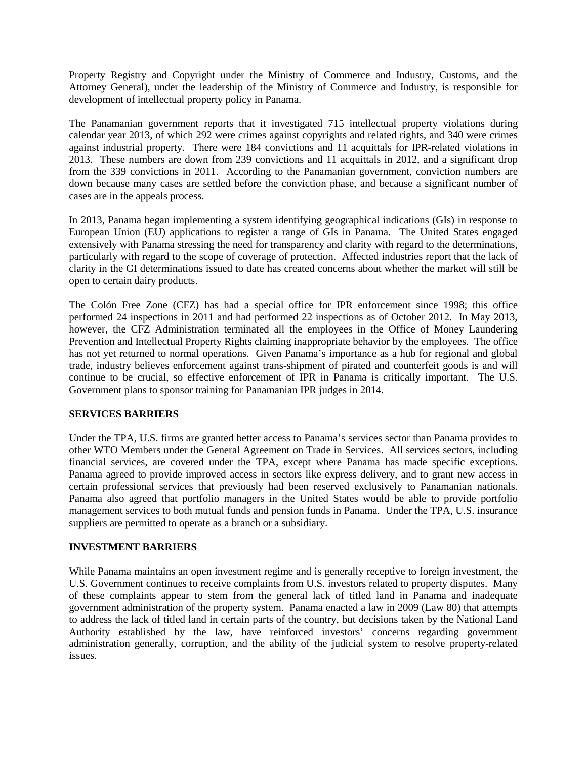Property Registry and Copyright under the Ministry of Commerce and Industry, Customs, and the Attorney General), under the leadership of the Ministry of Commerce and Industry, is responsible for development of intellectual property policy in Panama.

The Panamanian government reports that it investigated 715 intellectual property violations during calendar year 2013, of which 292 were crimes against copyrights and related rights, and 340 were crimes against industrial property. There were 184 convictions and 11 acquittals for IPR-related violations in 2013. These numbers are down from 239 convictions and 11 acquittals in 2012, and a significant drop from the 339 convictions in 2011. According to the Panamanian government, conviction numbers are down because many cases are settled before the conviction phase, and because a significant number of cases are in the appeals process.

In 2013, Panama began implementing a system identifying geographical indications (GIs) in response to European Union (EU) applications to register a range of GIs in Panama. The United States engaged extensively with Panama stressing the need for transparency and clarity with regard to the determinations, particularly with regard to the scope of coverage of protection. Affected industries report that the lack of clarity in the GI determinations issued to date has created concerns about whether the market will still be open to certain dairy products.

The Colón Free Zone (CFZ) has had a special office for IPR enforcement since 1998; this office performed 24 inspections in 2011 and had performed 22 inspections as of October 2012. In May 2013, however, the CFZ Administration terminated all the employees in the Office of Money Laundering Prevention and Intellectual Property Rights claiming inappropriate behavior by the employees. The office has not yet returned to normal operations. Given Panama's importance as a hub for regional and global trade, industry believes enforcement against trans-shipment of pirated and counterfeit goods is and will continue to be crucial, so effective enforcement of IPR in Panama is critically important. The U.S. Government plans to sponsor training for Panamanian IPR judges in 2014.

#### **SERVICES BARRIERS**

Under the TPA, U.S. firms are granted better access to Panama's services sector than Panama provides to other WTO Members under the General Agreement on Trade in Services. All services sectors, including financial services, are covered under the TPA, except where Panama has made specific exceptions. Panama agreed to provide improved access in sectors like express delivery, and to grant new access in certain professional services that previously had been reserved exclusively to Panamanian nationals. Panama also agreed that portfolio managers in the United States would be able to provide portfolio management services to both mutual funds and pension funds in Panama. Under the TPA, U.S. insurance suppliers are permitted to operate as a branch or a subsidiary.

# **INVESTMENT BARRIERS**

While Panama maintains an open investment regime and is generally receptive to foreign investment, the U.S. Government continues to receive complaints from U.S. investors related to property disputes. Many of these complaints appear to stem from the general lack of titled land in Panama and inadequate government administration of the property system. Panama enacted a law in 2009 (Law 80) that attempts to address the lack of titled land in certain parts of the country, but decisions taken by the National Land Authority established by the law, have reinforced investors' concerns regarding government administration generally, corruption, and the ability of the judicial system to resolve property-related issues.